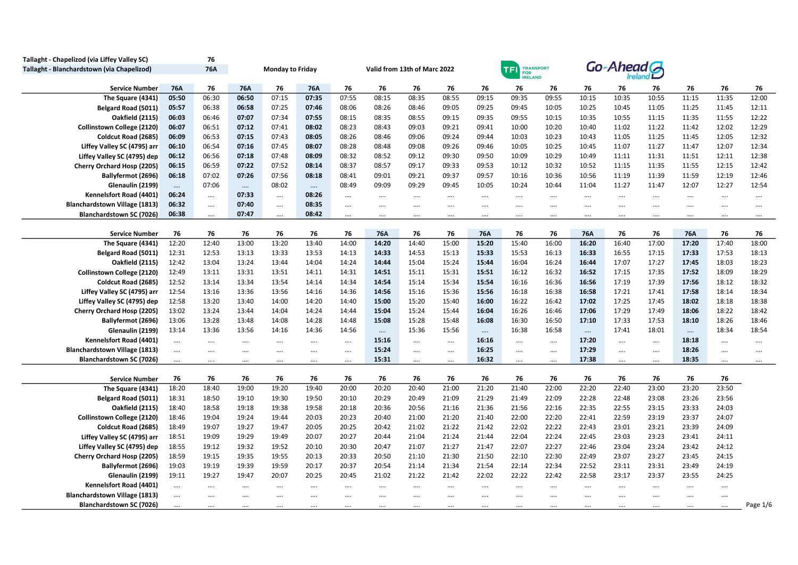| Tallaght - Chapelizod (via Liffey Valley SC) |            | 76       |          |                         |          |          |          |                              |          |          |                                                       |          |          |            |          |          |          |          |
|----------------------------------------------|------------|----------|----------|-------------------------|----------|----------|----------|------------------------------|----------|----------|-------------------------------------------------------|----------|----------|------------|----------|----------|----------|----------|
| Tallaght - Blanchardstown (via Chapelizod)   |            | 76A      |          | <b>Monday to Friday</b> |          |          |          | Valid from 13th of Marc 2022 |          |          | <b>TRANSPORT</b><br><b>TF</b><br>FOR<br><b>RELAND</b> |          |          | Go-Ahead G |          |          |          |          |
| <b>Service Number</b>                        | <b>76A</b> | 76       | 76A      | 76                      | 76A      | 76       | 76       | 76                           | 76       | 76       | 76                                                    | 76       | 76       | 76         | 76       | 76       | 76       | 76       |
| The Square (4341)                            | 05:50      | 06:30    | 06:50    | 07:15                   | 07:35    | 07:55    | 08:15    | 08:35                        | 08:55    | 09:15    | 09:35                                                 | 09:55    | 10:15    | 10:35      | 10:55    | 11:15    | 11:35    | 12:00    |
| Belgard Road (5011)                          | 05:57      | 06:38    | 06:58    | 07:25                   | 07:46    | 08:06    | 08:26    | 08:46                        | 09:05    | 09:25    | 09:45                                                 | 10:05    | 10:25    | 10:45      | 11:05    | 11:25    | 11:45    | 12:11    |
| <b>Oakfield (2115)</b>                       | 06:03      | 06:46    | 07:07    | 07:34                   | 07:55    | 08:15    | 08:35    | 08:55                        | 09:15    | 09:35    | 09:55                                                 | 10:15    | 10:35    | 10:55      | 11:15    | 11:35    | 11:55    | 12:22    |
| <b>Collinstown College (2120)</b>            | 06:07      | 06:51    | 07:12    | 07:41                   | 08:02    | 08:23    | 08:43    | 09:03                        | 09:21    | 09:41    | 10:00                                                 | 10:20    | 10:40    | 11:02      | 11:22    | 11:42    | 12:02    | 12:29    |
| Coldcut Road (2685)                          | 06:09      | 06:53    | 07:15    | 07:43                   | 08:05    | 08:26    | 08:46    | 09:06                        | 09:24    | 09:44    | 10:03                                                 | 10:23    | 10:43    | 11:05      | 11:25    | 11:45    | 12:05    | 12:32    |
| Liffey Valley SC (4795) arr                  | 06:10      | 06:54    | 07:16    | 07:45                   | 08:07    | 08:28    | 08:48    | 09:08                        | 09:26    | 09:46    | 10:05                                                 | 10:25    | 10:45    | 11:07      | 11:27    | 11:47    | 12:07    | 12:34    |
| Liffey Valley SC (4795) dep                  | 06:12      | 06:56    | 07:18    | 07:48                   | 08:09    | 08:32    | 08:52    | 09:12                        | 09:30    | 09:50    | 10:09                                                 | 10:29    | 10:49    | 11:11      | 11:31    | 11:51    | 12:11    | 12:38    |
| Cherry Orchard Hosp (2205)                   | 06:15      | 06:59    | 07:22    | 07:52                   | 08:14    | 08:37    | 08:57    | 09:17                        | 09:33    | 09:53    | 10:12                                                 | 10:32    | 10:52    | 11:15      | 11:35    | 11:55    | 12:15    | 12:42    |
| Ballyfermot (2696)                           | 06:18      | 07:02    | 07:26    | 07:56                   | 08:18    | 08:41    | 09:01    | 09:21                        | 09:37    | 09:57    | 10:16                                                 | 10:36    | 10:56    | 11:19      | 11:39    | 11:59    | 12:19    | 12:46    |
| Glenaulin (2199)                             | $\ldots$   | 07:06    | $\cdots$ | 08:02                   | $\ldots$ | 08:49    | 09:09    | 09:29                        | 09:45    | 10:05    | 10:24                                                 | 10:44    | 11:04    | 11:27      | 11:47    | 12:07    | 12:27    | 12:54    |
| Kennelsfort Road (4401)                      | 06:24      | $\cdots$ | 07:33    | $\cdots$                | 08:26    | $\cdots$ | $\cdots$ |                              | $\cdots$ |          |                                                       | $\cdots$ |          | $\cdots$   | $\cdots$ | $\cdots$ |          | $\cdots$ |
| <b>Blanchardstown Village (1813)</b>         | 06:32      | $\cdots$ | 07:40    |                         | 08:35    | $\cdots$ |          | $\cdots$                     | $\cdots$ |          |                                                       | $\cdots$ | $\cdots$ | $\cdots$   | $\cdots$ |          |          | $\cdots$ |
| Blanchardstown SC (7026)                     | 06:38      | $\cdots$ | 07:47    | $\cdots$                | 08:42    | $\cdots$ | $\cdots$ |                              |          |          |                                                       |          |          | $\cdots$   |          |          |          |          |
|                                              |            |          |          |                         |          |          |          |                              |          |          |                                                       |          |          |            |          |          |          |          |
| <b>Service Number</b>                        | 76         | 76       | 76       | 76                      | 76       | 76       | 76A      | 76                           | 76       | 76A      | 76                                                    | 76       | 76A      | 76         | 76       | 76A      | 76       | 76       |
| The Square (4341)                            | 12:20      | 12:40    | 13:00    | 13:20                   | 13:40    | 14:00    | 14:20    | 14:40                        | 15:00    | 15:20    | 15:40                                                 | 16:00    | 16:20    | 16:40      | 17:00    | 17:20    | 17:40    | 18:00    |
| Belgard Road (5011)                          | 12:31      | 12:53    | 13:13    | 13:33                   | 13:53    | 14:13    | 14:33    | 14:53                        | 15:13    | 15:33    | 15:53                                                 | 16:13    | 16:33    | 16:55      | 17:15    | 17:33    | 17:53    | 18:13    |
| <b>Oakfield (2115)</b>                       | 12:42      | 13:04    | 13:24    | 13:44                   | 14:04    | 14:24    | 14:44    | 15:04                        | 15:24    | 15:44    | 16:04                                                 | 16:24    | 16:44    | 17:07      | 17:27    | 17:45    | 18:03    | 18:23    |
| <b>Collinstown College (2120)</b>            | 12:49      | 13:11    | 13:31    | 13:51                   | 14:11    | 14:31    | 14:51    | 15:11                        | 15:31    | 15:51    | 16:12                                                 | 16:32    | 16:52    | 17:15      | 17:35    | 17:52    | 18:09    | 18:29    |
| Coldcut Road (2685)                          | 12:52      | 13:14    | 13:34    | 13:54                   | 14:14    | 14:34    | 14:54    | 15:14                        | 15:34    | 15:54    | 16:16                                                 | 16:36    | 16:56    | 17:19      | 17:39    | 17:56    | 18:12    | 18:32    |
| Liffey Valley SC (4795) arr                  | 12:54      | 13:16    | 13:36    | 13:56                   | 14:16    | 14:36    | 14:56    | 15:16                        | 15:36    | 15:56    | 16:18                                                 | 16:38    | 16:58    | 17:21      | 17:41    | 17:58    | 18:14    | 18:34    |
| Liffey Valley SC (4795) dep                  | 12:58      | 13:20    | 13:40    | 14:00                   | 14:20    | 14:40    | 15:00    | 15:20                        | 15:40    | 16:00    | 16:22                                                 | 16:42    | 17:02    | 17:25      | 17:45    | 18:02    | 18:18    | 18:38    |
| Cherry Orchard Hosp (2205)                   | 13:02      | 13:24    | 13:44    | 14:04                   | 14:24    | 14:44    | 15:04    | 15:24                        | 15:44    | 16:04    | 16:26                                                 | 16:46    | 17:06    | 17:29      | 17:49    | 18:06    | 18:22    | 18:42    |
| Ballyfermot (2696)                           | 13:06      | 13:28    | 13:48    | 14:08                   | 14:28    | 14:48    | 15:08    | 15:28                        | 15:48    | 16:08    | 16:30                                                 | 16:50    | 17:10    | 17:33      | 17:53    | 18:10    | 18:26    | 18:46    |
| Glenaulin (2199)                             | 13:14      | 13:36    | 13:56    | 14:16                   | 14:36    | 14:56    | $\cdots$ | 15:36                        | 15:56    | $\cdots$ | 16:38                                                 | 16:58    | $\cdots$ | 17:41      | 18:01    | $\cdots$ | 18:34    | 18:54    |
| Kennelsfort Road (4401)                      | $\cdots$   | $\cdots$ |          | $\cdots$                | $\cdots$ | $\cdots$ | 15:16    | $\cdots$                     | $\cdots$ | 16:16    | $\cdots$                                              | $\cdots$ | 17:20    | $\cdots$   | $\cdots$ | 18:18    | $\cdots$ |          |
| <b>Blanchardstown Village (1813)</b>         | $\cdots$   | $\cdots$ |          |                         | $\cdots$ | $\cdots$ | 15:24    |                              |          | 16:25    | $\cdots$                                              | $\cdots$ | 17:29    |            | $\cdots$ | 18:26    |          | $\cdots$ |
| Blanchardstown SC (7026)                     | $\cdots$   |          |          |                         |          | $\cdots$ | 15:31    | $\cdots$                     | $\cdots$ | 16:32    | $\cdots$                                              | $\cdots$ | 17:38    |            |          | 18:35    |          | $\cdots$ |
| <b>Service Number</b>                        | 76         | 76       | 76       | 76                      | 76       | 76       | 76       | 76                           | 76       | 76       | 76                                                    | 76       | 76       | 76         | 76       | 76       | 76       |          |
| The Square (4341)                            | 18:20      | 18:40    | 19:00    | 19:20                   | 19:40    | 20:00    | 20:20    | 20:40                        | 21:00    | 21:20    | 21:40                                                 | 22:00    | 22:20    | 22:40      | 23:00    | 23:20    | 23:50    |          |
| Belgard Road (5011)                          | 18:31      | 18:50    | 19:10    | 19:30                   | 19:50    | 20:10    | 20:29    | 20:49                        | 21:09    | 21:29    | 21:49                                                 | 22:09    | 22:28    | 22:48      | 23:08    | 23:26    | 23:56    |          |
| <b>Oakfield (2115)</b>                       | 18:40      | 18:58    | 19:18    | 19:38                   | 19:58    | 20:18    | 20:36    | 20:56                        | 21:16    | 21:36    | 21:56                                                 | 22:16    | 22:35    | 22:55      | 23:15    | 23:33    | 24:03    |          |
| <b>Collinstown College (2120)</b>            | 18:46      | 19:04    | 19:24    | 19:44                   | 20:03    | 20:23    | 20:40    | 21:00                        | 21:20    | 21:40    | 22:00                                                 | 22:20    | 22:41    | 22:59      | 23:19    | 23:37    | 24:07    |          |
| Coldcut Road (2685)                          | 18:49      | 19:07    | 19:27    | 19:47                   | 20:05    | 20:25    | 20:42    | 21:02                        | 21:22    | 21:42    | 22:02                                                 | 22:22    | 22:43    | 23:01      | 23:21    | 23:39    | 24:09    |          |
| Liffey Valley SC (4795) arr                  | 18:51      | 19:09    | 19:29    | 19:49                   | 20:07    | 20:27    | 20:44    | 21:04                        | 21:24    | 21:44    | 22:04                                                 | 22:24    | 22:45    | 23:03      | 23:23    | 23:41    | 24:11    |          |
| Liffey Valley SC (4795) dep                  | 18:55      | 19:12    | 19:32    | 19:52                   | 20:10    | 20:30    | 20:47    | 21:07                        | 21:27    | 21:47    | 22:07                                                 | 22:27    | 22:46    | 23:04      | 23:24    | 23:42    | 24:12    |          |
| Cherry Orchard Hosp (2205)                   | 18:59      | 19:15    | 19:35    | 19:55                   | 20:13    | 20:33    | 20:50    | 21:10                        | 21:30    | 21:50    | 22:10                                                 | 22:30    | 22:49    | 23:07      | 23:27    | 23:45    | 24:15    |          |
| Ballyfermot (2696)                           | 19:03      | 19:19    | 19:39    | 19:59                   | 20:17    | 20:37    | 20:54    | 21:14                        | 21:34    | 21:54    | 22:14                                                 | 22:34    | 22:52    | 23:11      | 23:31    | 23:49    | 24:19    |          |
| Glenaulin (2199)                             | 19:11      | 19:27    | 19:47    | 20:07                   | 20:25    | 20:45    | 21:02    | 21:22                        | 21:42    | 22:02    | 22:22                                                 | 22:42    | 22:58    | 23:17      | 23:37    | 23:55    | 24:25    |          |
| Kennelsfort Road (4401)                      | $\cdots$   | $\cdots$ |          | $\cdots$                | $\cdots$ | $\cdots$ | $\cdots$ |                              | $\cdots$ | $\cdots$ |                                                       | $\cdots$ | $\cdots$ | $\cdots$   | $\cdots$ | $\cdots$ |          |          |
| <b>Blanchardstown Village (1813)</b>         |            |          | $\cdots$ |                         |          | $\cdots$ |          | $\cdots$                     | $\cdots$ |          |                                                       |          |          |            |          |          |          |          |
| Blanchardstown SC (7026)                     |            |          |          |                         |          | $\cdots$ |          |                              | $\cdots$ |          |                                                       |          |          |            |          |          |          | Page 1/6 |
|                                              |            |          |          |                         |          |          |          |                              |          |          |                                                       |          |          |            |          |          |          |          |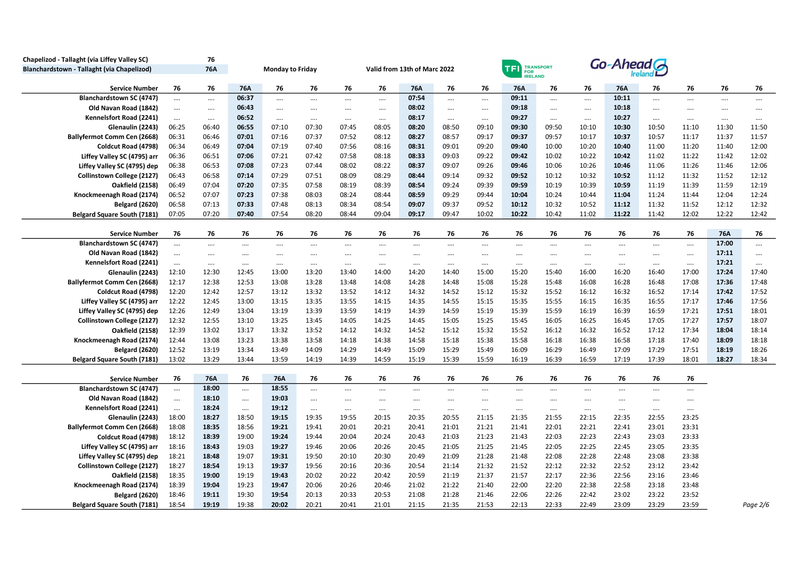| Chapelizod - Tallaght (via Liffey Valley SC) |          | 76         |          |                         |          |          |          |                              |          |          |               |                  |          |          |          |          |          |          |
|----------------------------------------------|----------|------------|----------|-------------------------|----------|----------|----------|------------------------------|----------|----------|---------------|------------------|----------|----------|----------|----------|----------|----------|
| Blanchardstown - Tallaght (via Chapelizod)   |          | <b>76A</b> |          | <b>Monday to Friday</b> |          |          |          | Valid from 13th of Marc 2022 |          |          | <b>TFI</b>    | TRANSPORT<br>FOR |          | Go-Ahead |          |          |          |          |
|                                              |          |            |          |                         |          |          |          |                              |          |          | <b>RELAND</b> |                  |          |          |          |          |          |          |
| <b>Service Number</b>                        | 76       | 76         | 76A      | 76                      | 76       | 76       | 76       | 76A                          | 76       | 76       | 76A           | 76               | 76       | 76A      | 76       | 76       | 76       | 76       |
| <b>Blanchardstown SC (4747)</b>              | $\cdots$ | $\cdots$   | 06:37    | $\cdots$                | $\cdots$ | $\cdots$ | $\cdots$ | 07:54                        | $\cdots$ |          | 09:11         | $\cdots$         | $\cdots$ | 10:11    |          | $\cdots$ | $\cdots$ | $\cdots$ |
| Old Navan Road (1842)                        | $\cdots$ |            | 06:43    | $\cdots$                | $\cdots$ | $\cdots$ | $\cdots$ | 08:02                        | $\cdots$ |          | 09:18         | $\cdots$         | $\cdots$ | 10:18    | $\cdots$ | $\cdots$ |          | $\cdots$ |
| Kennelsfort Road (2241)                      | $\cdots$ | $\cdots$   | 06:52    | $\cdots$                | $\cdots$ | $\cdots$ | $\cdots$ | 08:17                        | $\cdots$ | $\cdots$ | 09:27         | $\cdots$         | $\cdots$ | 10:27    | $\cdots$ | $\cdots$ |          | $\cdots$ |
| Glenaulin (2243)                             | 06:25    | 06:40      | 06:55    | 07:10                   | 07:30    | 07:45    | 08:05    | 08:20                        | 08:50    | 09:10    | 09:30         | 09:50            | 10:10    | 10:30    | 10:50    | 11:10    | 11:30    | 11:50    |
| Ballyfermot Comm Cen (2668)                  | 06:31    | 06:46      | 07:01    | 07:16                   | 07:37    | 07:52    | 08:12    | 08:27                        | 08:57    | 09:17    | 09:37         | 09:57            | 10:17    | 10:37    | 10:57    | 11:17    | 11:37    | 11:57    |
| Coldcut Road (4798)                          | 06:34    | 06:49      | 07:04    | 07:19                   | 07:40    | 07:56    | 08:16    | 08:31                        | 09:01    | 09:20    | 09:40         | 10:00            | 10:20    | 10:40    | 11:00    | 11:20    | 11:40    | 12:00    |
| Liffey Valley SC (4795) arr                  | 06:36    | 06:51      | 07:06    | 07:21                   | 07:42    | 07:58    | 08:18    | 08:33                        | 09:03    | 09:22    | 09:42         | 10:02            | 10:22    | 10:42    | 11:02    | 11:22    | 11:42    | 12:02    |
| Liffey Valley SC (4795) dep                  | 06:38    | 06:53      | 07:08    | 07:23                   | 07:44    | 08:02    | 08:22    | 08:37                        | 09:07    | 09:26    | 09:46         | 10:06            | 10:26    | 10:46    | 11:06    | 11:26    | 11:46    | 12:06    |
| Collinstown College (2127)                   | 06:43    | 06:58      | 07:14    | 07:29                   | 07:51    | 08:09    | 08:29    | 08:44                        | 09:14    | 09:32    | 09:52         | 10:12            | 10:32    | 10:52    | 11:12    | 11:32    | 11:52    | 12:12    |
| <b>Oakfield (2158)</b>                       | 06:49    | 07:04      | 07:20    | 07:35                   | 07:58    | 08:19    | 08:39    | 08:54                        | 09:24    | 09:39    | 09:59         | 10:19            | 10:39    | 10:59    | 11:19    | 11:39    | 11:59    | 12:19    |
| Knockmeenagh Road (2174)                     | 06:52    | 07:07      | 07:23    | 07:38                   | 08:03    | 08:24    | 08:44    | 08:59                        | 09:29    | 09:44    | 10:04         | 10:24            | 10:44    | 11:04    | 11:24    | 11:44    | 12:04    | 12:24    |
| <b>Belgard (2620)</b>                        | 06:58    | 07:13      | 07:33    | 07:48                   | 08:13    | 08:34    | 08:54    | 09:07                        | 09:37    | 09:52    | 10:12         | 10:32            | 10:52    | 11:12    | 11:32    | 11:52    | 12:12    | 12:32    |
| Belgard Square South (7181)                  | 07:05    | 07:20      | 07:40    | 07:54                   | 08:20    | 08:44    | 09:04    | 09:17                        | 09:47    | 10:02    | 10:22         | 10:42            | 11:02    | 11:22    | 11:42    | 12:02    | 12:22    | 12:42    |
| <b>Service Number</b>                        | 76       | 76         | 76       | 76                      | 76       | 76       | 76       | 76                           | 76       | 76       | 76            | 76               | 76       | 76       | 76       | 76       | 76A      | 76       |
| Blanchardstown SC (4747)                     | $\cdots$ | $\cdots$   |          | $\cdots$                |          |          |          |                              | $\cdots$ |          | $\cdots$      | $\cdots$         |          | $\cdots$ |          | $\cdots$ | 17:00    |          |
| Old Navan Road (1842)                        | $\cdots$ |            |          | $\cdots$                | $\cdots$ |          | $\cdots$ |                              | $\cdots$ |          | $\cdots$      |                  |          | $\cdots$ |          | $\cdots$ | 17:11    | $\cdots$ |
| Kennelsfort Road (2241)                      | $\cdots$ | $\cdots$   | $\cdots$ | $\cdots$                | $\cdots$ | $\cdots$ |          | $\cdots$                     | $\cdots$ | $\cdots$ | $\cdots$      | $\cdots$         | $\cdots$ | $\cdots$ | $\cdots$ | $\cdots$ | 17:21    |          |
| Glenaulin (2243)                             | 12:10    | 12:30      | 12:45    | 13:00                   | 13:20    | 13:40    | 14:00    | 14:20                        | 14:40    | 15:00    | 15:20         | 15:40            | 16:00    | 16:20    | 16:40    | 17:00    | 17:24    | 17:40    |
| Ballyfermot Comm Cen (2668)                  | 12:17    | 12:38      | 12:53    | 13:08                   | 13:28    | 13:48    | 14:08    | 14:28                        | 14:48    | 15:08    | 15:28         | 15:48            | 16:08    | 16:28    | 16:48    | 17:08    | 17:36    | 17:48    |
| Coldcut Road (4798)                          | 12:20    | 12:42      | 12:57    | 13:12                   | 13:32    | 13:52    | 14:12    | 14:32                        | 14:52    | 15:12    | 15:32         | 15:52            | 16:12    | 16:32    | 16:52    | 17:14    | 17:42    | 17:52    |
| Liffey Valley SC (4795) arr                  | 12:22    | 12:45      | 13:00    | 13:15                   | 13:35    | 13:55    | 14:15    | 14:35                        | 14:55    | 15:15    | 15:35         | 15:55            | 16:15    | 16:35    | 16:55    | 17:17    | 17:46    | 17:56    |
| Liffey Valley SC (4795) dep                  | 12:26    | 12:49      | 13:04    | 13:19                   | 13:39    | 13:59    | 14:19    | 14:39                        | 14:59    | 15:19    | 15:39         | 15:59            | 16:19    | 16:39    | 16:59    | 17:21    | 17:51    | 18:01    |
| Collinstown College (2127)                   | 12:32    | 12:55      | 13:10    | 13:25                   | 13:45    | 14:05    | 14:25    | 14:45                        | 15:05    | 15:25    | 15:45         | 16:05            | 16:25    | 16:45    | 17:05    | 17:27    | 17:57    | 18:07    |
| <b>Oakfield (2158)</b>                       | 12:39    | 13:02      | 13:17    | 13:32                   | 13:52    | 14:12    | 14:32    | 14:52                        | 15:12    | 15:32    | 15:52         | 16:12            | 16:32    | 16:52    | 17:12    | 17:34    | 18:04    | 18:14    |
| Knockmeenagh Road (2174)                     | 12:44    | 13:08      | 13:23    | 13:38                   | 13:58    | 14:18    | 14:38    | 14:58                        | 15:18    | 15:38    | 15:58         | 16:18            | 16:38    | 16:58    | 17:18    | 17:40    | 18:09    | 18:18    |
| <b>Belgard (2620)</b>                        | 12:52    | 13:19      | 13:34    | 13:49                   | 14:09    | 14:29    | 14:49    | 15:09                        | 15:29    | 15:49    | 16:09         | 16:29            | 16:49    | 17:09    | 17:29    | 17:51    | 18:19    | 18:26    |
| <b>Belgard Square South (7181)</b>           | 13:02    | 13:29      | 13:44    | 13:59                   | 14:19    | 14:39    | 14:59    | 15:19                        | 15:39    | 15:59    | 16:19         | 16:39            | 16:59    | 17:19    | 17:39    | 18:01    | 18:27    | 18:34    |
|                                              |          |            |          |                         |          |          |          |                              |          |          |               |                  |          |          |          |          |          |          |
| <b>Service Number</b>                        | 76       | 76A        | 76       | <b>76A</b>              | 76       | 76       | 76       | 76                           | 76       | 76       | 76            | 76               | 76       | 76       | 76       | 76       |          |          |
| <b>Blanchardstown SC (4747)</b>              | $\cdots$ | 18:00      |          | 18:55                   | $\cdots$ | $\cdots$ |          |                              | $\cdots$ |          | $\cdots$      | $\cdots$         | $\cdots$ |          |          |          |          |          |
| Old Navan Road (1842)                        | $\cdots$ | 18:10      | $\cdots$ | 19:03                   | $\cdots$ |          | $\cdots$ | $\cdots$                     | $\cdots$ | $\cdots$ | $\cdots$      | $\cdots$         | $\cdots$ | $\cdots$ | $\cdots$ | $\cdots$ |          |          |
| Kennelsfort Road (2241)                      | $\cdots$ | 18:24      | $\cdots$ | 19:12                   | $\cdots$ | $\cdots$ |          | $\cdots$                     | $\cdots$ | $\cdots$ |               | $\cdots$         | $\cdots$ | $\cdots$ | $\cdots$ | $\cdots$ |          |          |
| Glenaulin (2243)                             | 18:00    | 18:27      | 18:50    | 19:15                   | 19:35    | 19:55    | 20:15    | 20:35                        | 20:55    | 21:15    | 21:35         | 21:55            | 22:15    | 22:35    | 22:55    | 23:25    |          |          |
| Ballyfermot Comm Cen (2668)                  | 18:08    | 18:35      | 18:56    | 19:21                   | 19:41    | 20:01    | 20:21    | 20:41                        | 21:01    | 21:21    | 21:41         | 22:01            | 22:21    | 22:41    | 23:01    | 23:31    |          |          |
| Coldcut Road (4798)                          | 18:12    | 18:39      | 19:00    | 19:24                   | 19:44    | 20:04    | 20:24    | 20:43                        | 21:03    | 21:23    | 21:43         | 22:03            | 22:23    | 22:43    | 23:03    | 23:33    |          |          |
| Liffey Valley SC (4795) arr                  | 18:16    | 18:43      | 19:03    | 19:27                   | 19:46    | 20:06    | 20:26    | 20:45                        | 21:05    | 21:25    | 21:45         | 22:05            | 22:25    | 22:45    | 23:05    | 23:35    |          |          |
| Liffey Valley SC (4795) dep                  | 18:21    | 18:48      | 19:07    | 19:31                   | 19:50    | 20:10    | 20:30    | 20:49                        | 21:09    | 21:28    | 21:48         | 22:08            | 22:28    | 22:48    | 23:08    | 23:38    |          |          |
| Collinstown College (2127)                   | 18:27    | 18:54      | 19:13    | 19:37                   | 19:56    | 20:16    | 20:36    | 20:54                        | 21:14    | 21:32    | 21:52         | 22:12            | 22:32    | 22:52    | 23:12    | 23:42    |          |          |
| <b>Oakfield (2158)</b>                       | 18:35    | 19:00      | 19:19    | 19:43                   | 20:02    | 20:22    | 20:42    | 20:59                        | 21:19    | 21:37    | 21:57         | 22:17            | 22:36    | 22:56    | 23:16    | 23:46    |          |          |
| Knockmeenagh Road (2174)                     | 18:39    | 19:04      | 19:23    | 19:47                   | 20:06    | 20:26    | 20:46    | 21:02                        | 21:22    | 21:40    | 22:00         | 22:20            | 22:38    | 22:58    | 23:18    | 23:48    |          |          |
| <b>Belgard (2620)</b>                        | 18:46    | 19:11      | 19:30    | 19:54                   | 20:13    | 20:33    | 20:53    | 21:08                        | 21:28    | 21:46    | 22:06         | 22:26            | 22:42    | 23:02    | 23:22    | 23:52    |          |          |
| Belgard Square South (7181)                  | 18:54    | 19:19      | 19:38    | 20:02                   | 20:21    | 20:41    | 21:01    | 21:15                        | 21:35    | 21:53    | 22:13         | 22:33            | 22:49    | 23:09    | 23:29    | 23:59    |          | Page 2/6 |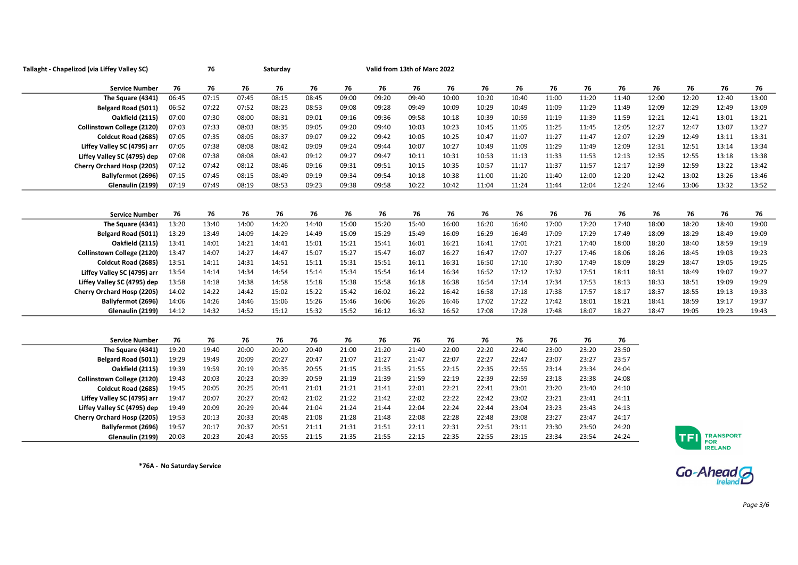| Tallaght - Chapelizod (via Liffey Valley SC) |       | 76    |       | Saturday |       |       |       | Valid from 13th of Marc 2022 |       |       |       |       |       |       |       |       |                                |       |
|----------------------------------------------|-------|-------|-------|----------|-------|-------|-------|------------------------------|-------|-------|-------|-------|-------|-------|-------|-------|--------------------------------|-------|
| <b>Service Number</b>                        | 76    | 76    | 76    | 76       | 76    | 76    | 76    | 76                           | 76    | 76    | 76    | 76    | 76    | 76    | 76    | 76    | 76                             | 76    |
| The Square (4341)                            | 06:45 | 07:15 | 07:45 | 08:15    | 08:45 | 09:00 | 09:20 | 09:40                        | 10:00 | 10:20 | 10:40 | 11:00 | 11:20 | 11:40 | 12:00 | 12:20 | 12:40                          | 13:00 |
| Belgard Road (5011)                          | 06:52 | 07:22 | 07:52 | 08:23    | 08:53 | 09:08 | 09:28 | 09:49                        | 10:09 | 10:29 | 10:49 | 11:09 | 11:29 | 11:49 | 12:09 | 12:29 | 12:49                          | 13:09 |
| <b>Oakfield (2115)</b>                       | 07:00 | 07:30 | 08:00 | 08:31    | 09:01 | 09:16 | 09:36 | 09:58                        | 10:18 | 10:39 | 10:59 | 11:19 | 11:39 | 11:59 | 12:21 | 12:41 | 13:01                          | 13:21 |
| Collinstown College (2120)                   | 07:03 | 07:33 | 08:03 | 08:35    | 09:05 | 09:20 | 09:40 | 10:03                        | 10:23 | 10:45 | 11:05 | 11:25 | 11:45 | 12:05 | 12:27 | 12:47 | 13:07                          | 13:27 |
| Coldcut Road (2685)                          | 07:05 | 07:35 | 08:05 | 08:37    | 09:07 | 09:22 | 09:42 | 10:05                        | 10:25 | 10:47 | 11:07 | 11:27 | 11:47 | 12:07 | 12:29 | 12:49 | 13:11                          | 13:31 |
| Liffey Valley SC (4795) arr                  | 07:05 | 07:38 | 08:08 | 08:42    | 09:09 | 09:24 | 09:44 | 10:07                        | 10:27 | 10:49 | 11:09 | 11:29 | 11:49 | 12:09 | 12:31 | 12:51 | 13:14                          | 13:34 |
| Liffey Valley SC (4795) dep                  | 07:08 | 07:38 | 08:08 | 08:42    | 09:12 | 09:27 | 09:47 | 10:11                        | 10:31 | 10:53 | 11:13 | 11:33 | 11:53 | 12:13 | 12:35 | 12:55 | 13:18                          | 13:38 |
| Cherry Orchard Hosp (2205)                   | 07:12 | 07:42 | 08:12 | 08:46    | 09:16 | 09:31 | 09:51 | 10:15                        | 10:35 | 10:57 | 11:17 | 11:37 | 11:57 | 12:17 | 12:39 | 12:59 | 13:22                          | 13:42 |
| Ballyfermot (2696)                           | 07:15 | 07:45 | 08:15 | 08:49    | 09:19 | 09:34 | 09:54 | 10:18                        | 10:38 | 11:00 | 11:20 | 11:40 | 12:00 | 12:20 | 12:42 | 13:02 | 13:26                          | 13:46 |
| Glenaulin (2199)                             | 07:19 | 07:49 | 08:19 | 08:53    | 09:23 | 09:38 | 09:58 | 10:22                        | 10:42 | 11:04 | 11:24 | 11:44 | 12:04 | 12:24 | 12:46 | 13:06 | 13:32                          | 13:52 |
|                                              |       |       |       |          |       |       |       |                              |       |       |       |       |       |       |       |       |                                |       |
| <b>Service Number</b>                        | 76    | 76    | 76    | 76       | 76    | 76    | 76    | 76                           | 76    | 76    | 76    | 76    | 76    | 76    | 76    | 76    | 76                             | 76    |
| The Square (4341)                            | 13:20 | 13:40 | 14:00 | 14:20    | 14:40 | 15:00 | 15:20 | 15:40                        | 16:00 | 16:20 | 16:40 | 17:00 | 17:20 | 17:40 | 18:00 | 18:20 | 18:40                          | 19:00 |
| Belgard Road (5011)                          | 13:29 | 13:49 | 14:09 | 14:29    | 14:49 | 15:09 | 15:29 | 15:49                        | 16:09 | 16:29 | 16:49 | 17:09 | 17:29 | 17:49 | 18:09 | 18:29 | 18:49                          | 19:09 |
| <b>Oakfield (2115)</b>                       | 13:41 | 14:01 | 14:21 | 14:41    | 15:01 | 15:21 | 15:41 | 16:01                        | 16:21 | 16:41 | 17:01 | 17:21 | 17:40 | 18:00 | 18:20 | 18:40 | 18:59                          | 19:19 |
| Collinstown College (2120)                   | 13:47 | 14:07 | 14:27 | 14:47    | 15:07 | 15:27 | 15:47 | 16:07                        | 16:27 | 16:47 | 17:07 | 17:27 | 17:46 | 18:06 | 18:26 | 18:45 | 19:03                          | 19:23 |
| Coldcut Road (2685)                          | 13:51 | 14:11 | 14:31 | 14:51    | 15:11 | 15:31 | 15:51 | 16:11                        | 16:31 | 16:50 | 17:10 | 17:30 | 17:49 | 18:09 | 18:29 | 18:47 | 19:05                          | 19:25 |
| Liffey Valley SC (4795) arr                  | 13:54 | 14:14 | 14:34 | 14:54    | 15:14 | 15:34 | 15:54 | 16:14                        | 16:34 | 16:52 | 17:12 | 17:32 | 17:51 | 18:11 | 18:31 | 18:49 | 19:07                          | 19:27 |
| Liffey Valley SC (4795) dep                  | 13:58 | 14:18 | 14:38 | 14:58    | 15:18 | 15:38 | 15:58 | 16:18                        | 16:38 | 16:54 | 17:14 | 17:34 | 17:53 | 18:13 | 18:33 | 18:51 | 19:09                          | 19:29 |
| Cherry Orchard Hosp (2205)                   | 14:02 | 14:22 | 14:42 | 15:02    | 15:22 | 15:42 | 16:02 | 16:22                        | 16:42 | 16:58 | 17:18 | 17:38 | 17:57 | 18:17 | 18:37 | 18:55 | 19:13                          | 19:33 |
| Ballyfermot (2696)                           | 14:06 | 14:26 | 14:46 | 15:06    | 15:26 | 15:46 | 16:06 | 16:26                        | 16:46 | 17:02 | 17:22 | 17:42 | 18:01 | 18:21 | 18:41 | 18:59 | 19:17                          | 19:37 |
| Glenaulin (2199)                             | 14:12 | 14:32 | 14:52 | 15:12    | 15:32 | 15:52 | 16:12 | 16:32                        | 16:52 | 17:08 | 17:28 | 17:48 | 18:07 | 18:27 | 18:47 | 19:05 | 19:23                          | 19:43 |
|                                              |       |       |       |          |       |       |       |                              |       |       |       |       |       |       |       |       |                                |       |
| <b>Service Number</b>                        | 76    | 76    | 76    | 76       | 76    | 76    | 76    | 76                           | 76    | 76    | 76    | 76    | 76    | 76    |       |       |                                |       |
| The Square (4341)                            | 19:20 | 19:40 | 20:00 | 20:20    | 20:40 | 21:00 | 21:20 | 21:40                        | 22:00 | 22:20 | 22:40 | 23:00 | 23:20 | 23:50 |       |       |                                |       |
| Belgard Road (5011)                          | 19:29 | 19:49 | 20:09 | 20:27    | 20:47 | 21:07 | 21:27 | 21:47                        | 22:07 | 22:27 | 22:47 | 23:07 | 23:27 | 23:57 |       |       |                                |       |
| Oakfield (2115)                              | 19:39 | 19:59 | 20:19 | 20:35    | 20:55 | 21:15 | 21:35 | 21:55                        | 22:15 | 22:35 | 22:55 | 23:14 | 23:34 | 24:04 |       |       |                                |       |
| <b>Collinstown College (2120)</b>            | 19:43 | 20:03 | 20:23 | 20:39    | 20:59 | 21:19 | 21:39 | 21:59                        | 22:19 | 22:39 | 22:59 | 23:18 | 23:38 | 24:08 |       |       |                                |       |
| Coldcut Road (2685)                          | 19:45 | 20:05 | 20:25 | 20:41    | 21:01 | 21:21 | 21:41 | 22:01                        | 22:21 | 22:41 | 23:01 | 23:20 | 23:40 | 24:10 |       |       |                                |       |
| Liffey Valley SC (4795) arr                  | 19:47 | 20:07 | 20:27 | 20:42    | 21:02 | 21:22 | 21:42 | 22:02                        | 22:22 | 22:42 | 23:02 | 23:21 | 23:41 | 24:11 |       |       |                                |       |
| Liffey Valley SC (4795) dep                  | 19:49 | 20:09 | 20:29 | 20:44    | 21:04 | 21:24 | 21:44 | 22:04                        | 22:24 | 22:44 | 23:04 | 23:23 | 23:43 | 24:13 |       |       |                                |       |
| Cherry Orchard Hosp (2205)                   | 19:53 | 20:13 | 20:33 | 20:48    | 21:08 | 21:28 | 21:48 | 22:08                        | 22:28 | 22:48 | 23:08 | 23:27 | 23:47 | 24:17 |       |       |                                |       |
| Ballyfermot (2696)                           | 19:57 | 20:17 | 20:37 | 20:51    | 21:11 | 21:31 | 21:51 | 22:11                        | 22:31 | 22:51 | 23:11 | 23:30 | 23:50 | 24:20 |       |       |                                |       |
| Glenaulin (2199)                             | 20:03 | 20:23 | 20:43 | 20:55    | 21:15 | 21:35 | 21:55 | 22:15                        | 22:35 | 22:55 | 23:15 | 23:34 | 23:54 | 24:24 |       |       | <b>TRANSPORT</b><br><b>FOR</b> |       |
|                                              |       |       |       |          |       |       |       |                              |       |       |       |       |       |       |       |       | <b>IRELAND</b>                 |       |

\*76A - No Saturday Service

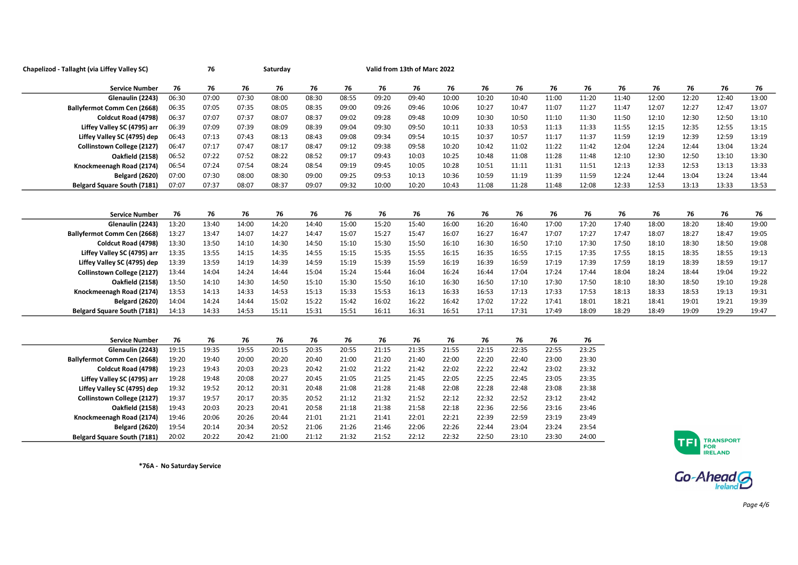| Chapelizod - Tallaght (via Liffey Valley SC) |       | 76    |       | Saturday |       |       |       | Valid from 13th of Marc 2022 |       |       |       |       |       |       |       |                         |                  |       |
|----------------------------------------------|-------|-------|-------|----------|-------|-------|-------|------------------------------|-------|-------|-------|-------|-------|-------|-------|-------------------------|------------------|-------|
| <b>Service Number</b>                        | 76    | 76    | 76    | 76       | 76    | 76    | 76    | 76                           | 76    | 76    | 76    | 76    | 76    | 76    | 76    | 76                      | 76               | 76    |
| Glenaulin (2243)                             | 06:30 | 07:00 | 07:30 | 08:00    | 08:30 | 08:55 | 09:20 | 09:40                        | 10:00 | 10:20 | 10:40 | 11:00 | 11:20 | 11:40 | 12:00 | 12:20                   | 12:40            | 13:00 |
| Ballyfermot Comm Cen (2668)                  | 06:35 | 07:05 | 07:35 | 08:05    | 08:35 | 09:00 | 09:26 | 09:46                        | 10:06 | 10:27 | 10:47 | 11:07 | 11:27 | 11:47 | 12:07 | 12:27                   | 12:47            | 13:07 |
| Coldcut Road (4798)                          | 06:37 | 07:07 | 07:37 | 08:07    | 08:37 | 09:02 | 09:28 | 09:48                        | 10:09 | 10:30 | 10:50 | 11:10 | 11:30 | 11:50 | 12:10 | 12:30                   | 12:50            | 13:10 |
| Liffey Valley SC (4795) arr                  | 06:39 | 07:09 | 07:39 | 08:09    | 08:39 | 09:04 | 09:30 | 09:50                        | 10:11 | 10:33 | 10:53 | 11:13 | 11:33 | 11:55 | 12:15 | 12:35                   | 12:55            | 13:15 |
| Liffey Valley SC (4795) dep                  | 06:43 | 07:13 | 07:43 | 08:13    | 08:43 | 09:08 | 09:34 | 09:54                        | 10:15 | 10:37 | 10:57 | 11:17 | 11:37 | 11:59 | 12:19 | 12:39                   | 12:59            | 13:19 |
| Collinstown College (2127)                   | 06:47 | 07:17 | 07:47 | 08:17    | 08:47 | 09:12 | 09:38 | 09:58                        | 10:20 | 10:42 | 11:02 | 11:22 | 11:42 | 12:04 | 12:24 | 12:44                   | 13:04            | 13:24 |
| Oakfield (2158)                              | 06:52 | 07:22 | 07:52 | 08:22    | 08:52 | 09:17 | 09:43 | 10:03                        | 10:25 | 10:48 | 11:08 | 11:28 | 11:48 | 12:10 | 12:30 | 12:50                   | 13:10            | 13:30 |
| Knockmeenagh Road (2174)                     | 06:54 | 07:24 | 07:54 | 08:24    | 08:54 | 09:19 | 09:45 | 10:05                        | 10:28 | 10:51 | 11:11 | 11:31 | 11:51 | 12:13 | 12:33 | 12:53                   | 13:13            | 13:33 |
| <b>Belgard (2620)</b>                        | 07:00 | 07:30 | 08:00 | 08:30    | 09:00 | 09:25 | 09:53 | 10:13                        | 10:36 | 10:59 | 11:19 | 11:39 | 11:59 | 12:24 | 12:44 | 13:04                   | 13:24            | 13:44 |
| <b>Belgard Square South (7181)</b>           | 07:07 | 07:37 | 08:07 | 08:37    | 09:07 | 09:32 | 10:00 | 10:20                        | 10:43 | 11:08 | 11:28 | 11:48 | 12:08 | 12:33 | 12:53 | 13:13                   | 13:33            | 13:53 |
|                                              |       |       |       |          |       |       |       |                              |       |       |       |       |       |       |       |                         |                  |       |
| <b>Service Number</b>                        | 76    | 76    | 76    | 76       | 76    | 76    | 76    | 76                           | 76    | 76    | 76    | 76    | 76    | 76    | 76    | 76                      | 76               | 76    |
| Glenaulin (2243)                             | 13:20 | 13:40 | 14:00 | 14:20    | 14:40 | 15:00 | 15:20 | 15:40                        | 16:00 | 16:20 | 16:40 | 17:00 | 17:20 | 17:40 | 18:00 | 18:20                   | 18:40            | 19:00 |
| <b>Ballyfermot Comm Cen (2668)</b>           | 13:27 | 13:47 | 14:07 | 14:27    | 14:47 | 15:07 | 15:27 | 15:47                        | 16:07 | 16:27 | 16:47 | 17:07 | 17:27 | 17:47 | 18:07 | 18:27                   | 18:47            | 19:05 |
| Coldcut Road (4798)                          | 13:30 | 13:50 | 14:10 | 14:30    | 14:50 | 15:10 | 15:30 | 15:50                        | 16:10 | 16:30 | 16:50 | 17:10 | 17:30 | 17:50 | 18:10 | 18:30                   | 18:50            | 19:08 |
| Liffey Valley SC (4795) arr                  | 13:35 | 13:55 | 14:15 | 14:35    | 14:55 | 15:15 | 15:35 | 15:55                        | 16:15 | 16:35 | 16:55 | 17:15 | 17:35 | 17:55 | 18:15 | 18:35                   | 18:55            | 19:13 |
| Liffey Valley SC (4795) dep                  | 13:39 | 13:59 | 14:19 | 14:39    | 14:59 | 15:19 | 15:39 | 15:59                        | 16:19 | 16:39 | 16:59 | 17:19 | 17:39 | 17:59 | 18:19 | 18:39                   | 18:59            | 19:17 |
| Collinstown College (2127)                   | 13:44 | 14:04 | 14:24 | 14:44    | 15:04 | 15:24 | 15:44 | 16:04                        | 16:24 | 16:44 | 17:04 | 17:24 | 17:44 | 18:04 | 18:24 | 18:44                   | 19:04            | 19:22 |
| Oakfield (2158)                              | 13:50 | 14:10 | 14:30 | 14:50    | 15:10 | 15:30 | 15:50 | 16:10                        | 16:30 | 16:50 | 17:10 | 17:30 | 17:50 | 18:10 | 18:30 | 18:50                   | 19:10            | 19:28 |
| Knockmeenagh Road (2174)                     | 13:53 | 14:13 | 14:33 | 14:53    | 15:13 | 15:33 | 15:53 | 16:13                        | 16:33 | 16:53 | 17:13 | 17:33 | 17:53 | 18:13 | 18:33 | 18:53                   | 19:13            | 19:31 |
| Belgard (2620)                               | 14:04 | 14:24 | 14:44 | 15:02    | 15:22 | 15:42 | 16:02 | 16:22                        | 16:42 | 17:02 | 17:22 | 17:41 | 18:01 | 18:21 | 18:41 | 19:01                   | 19:21            | 19:39 |
| <b>Belgard Square South (7181)</b>           | 14:13 | 14:33 | 14:53 | 15:11    | 15:31 | 15:51 | 16:11 | 16:31                        | 16:51 | 17:11 | 17:31 | 17:49 | 18:09 | 18:29 | 18:49 | 19:09                   | 19:29            | 19:47 |
|                                              |       |       |       |          |       |       |       |                              |       |       |       |       |       |       |       |                         |                  |       |
| <b>Service Number</b>                        | 76    | 76    | 76    | 76       | 76    | 76    | 76    | 76                           | 76    | 76    | 76    | 76    | 76    |       |       |                         |                  |       |
| Glenaulin (2243)                             | 19:15 | 19:35 | 19:55 | 20:15    | 20:35 | 20:55 | 21:15 | 21:35                        | 21:55 | 22:15 | 22:35 | 22:55 | 23:25 |       |       |                         |                  |       |
| <b>Ballyfermot Comm Cen (2668)</b>           | 19:20 | 19:40 | 20:00 | 20:20    | 20:40 | 21:00 | 21:20 | 21:40                        | 22:00 | 22:20 | 22:40 | 23:00 | 23:30 |       |       |                         |                  |       |
| Coldcut Road (4798)                          | 19:23 | 19:43 | 20:03 | 20:23    | 20:42 | 21:02 | 21:22 | 21:42                        | 22:02 | 22:22 | 22:42 | 23:02 | 23:32 |       |       |                         |                  |       |
| Liffey Valley SC (4795) arr                  | 19:28 | 19:48 | 20:08 | 20:27    | 20:45 | 21:05 | 21:25 | 21:45                        | 22:05 | 22:25 | 22:45 | 23:05 | 23:35 |       |       |                         |                  |       |
| Liffey Valley SC (4795) dep                  | 19:32 | 19:52 | 20:12 | 20:31    | 20:48 | 21:08 | 21:28 | 21:48                        | 22:08 | 22:28 | 22:48 | 23:08 | 23:38 |       |       |                         |                  |       |
| Collinstown College (2127)                   | 19:37 | 19:57 | 20:17 | 20:35    | 20:52 | 21:12 | 21:32 | 21:52                        | 22:12 | 22:32 | 22:52 | 23:12 | 23:42 |       |       |                         |                  |       |
| Oakfield (2158)                              | 19:43 | 20:03 | 20:23 | 20:41    | 20:58 | 21:18 | 21:38 | 21:58                        | 22:18 | 22:36 | 22:56 | 23:16 | 23:46 |       |       |                         |                  |       |
| Knockmeenagh Road (2174)                     | 19:46 | 20:06 | 20:26 | 20:44    | 21:01 | 21:21 | 21:41 | 22:01                        | 22:21 | 22:39 | 22:59 | 23:19 | 23:49 |       |       |                         |                  |       |
| <b>Belgard (2620)</b>                        | 19:54 | 20:14 | 20:34 | 20:52    | 21:06 | 21:26 | 21:46 | 22:06                        | 22:26 | 22:44 | 23:04 | 23:24 | 23:54 |       |       |                         |                  |       |
| <b>Belgard Square South (7181)</b>           | 20:02 | 20:22 | 20:42 | 21:00    | 21:12 | 21:32 | 21:52 | 22:12                        | 22:32 | 22:50 | 23:10 | 23:30 | 24:00 |       |       | <b>The Second State</b> | <b>TRANSPORT</b> |       |

\*76A - No Saturday Service



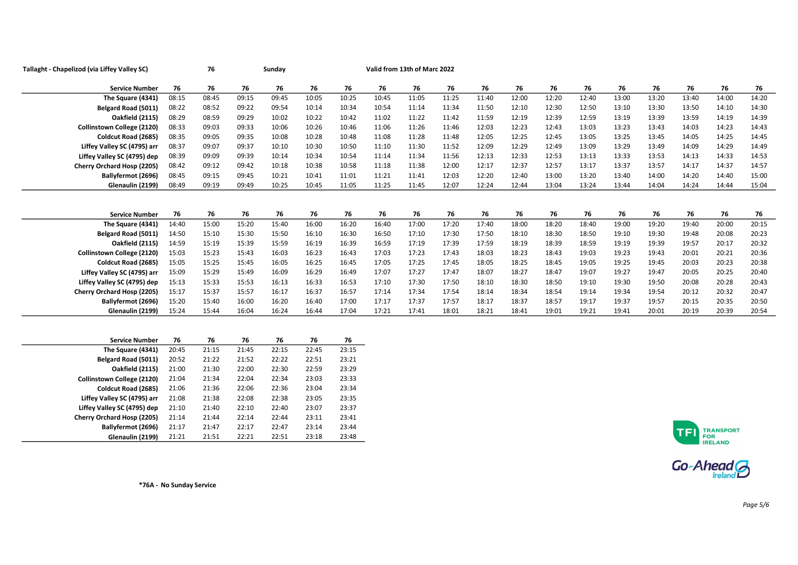| Tallaght - Chapelizod (via Liffey Valley SC) |       | 76    |       | Sunday |       |       |       | Valid from 13th of Marc 2022 |       |       |       |       |       |       |       |       |       |       |
|----------------------------------------------|-------|-------|-------|--------|-------|-------|-------|------------------------------|-------|-------|-------|-------|-------|-------|-------|-------|-------|-------|
| <b>Service Number</b>                        | 76    | 76    | 76    | 76     | 76    | 76    | 76    | 76                           | 76    | 76    | 76    | 76    | 76    | 76    | 76    | 76    | 76    | 76    |
| The Square (4341)                            | 08:15 | 08:45 | 09:15 | 09:45  | 10:05 | 10:25 | 10:45 | 11:05                        | 11:25 | 11:40 | 12:00 | 12:20 | 12:40 | 13:00 | 13:20 | 13:40 | 14:00 | 14:20 |
| Belgard Road (5011)                          | 08:22 | 08:52 | 09:22 | 09:54  | 10:14 | 10:34 | 10:54 | 11:14                        | 11:34 | 11:50 | 12:10 | 12:30 | 12:50 | 13:10 | 13:30 | 13:50 | 14:10 | 14:30 |
| <b>Oakfield (2115)</b>                       | 08:29 | 08:59 | 09:29 | 10:02  | 10:22 | 10:42 | 11:02 | 11:22                        | 11:42 | 11:59 | 12:19 | 12:39 | 12:59 | 13:19 | 13:39 | 13:59 | 14:19 | 14:39 |
| Collinstown College (2120)                   | 08:33 | 09:03 | 09:33 | 10:06  | 10:26 | 10:46 | 11:06 | 11:26                        | 11:46 | 12:03 | 12:23 | 12:43 | 13:03 | 13:23 | 13:43 | 14:03 | 14:23 | 14:43 |
| Coldcut Road (2685)                          | 08:35 | 09:05 | 09:35 | 10:08  | 10:28 | 10:48 | 11:08 | 11:28                        | 11:48 | 12:05 | 12:25 | 12:45 | 13:05 | 13:25 | 13:45 | 14:05 | 14:25 | 14:45 |
| Liffey Valley SC (4795) arr                  | 08:37 | 09:07 | 09:37 | 10:10  | 10:30 | 10:50 | 11:10 | 11:30                        | 11:52 | 12:09 | 12:29 | 12:49 | 13:09 | 13:29 | 13:49 | 14:09 | 14:29 | 14:49 |
| Liffey Valley SC (4795) dep                  | 08:39 | 09:09 | 09:39 | 10:14  | 10:34 | 10:54 | 11:14 | 11:34                        | 11:56 | 12:13 | 12:33 | 12:53 | 13:13 | 13:33 | 13:53 | 14:13 | 14:33 | 14:53 |
| Cherry Orchard Hosp (2205)                   | 08:42 | 09:12 | 09:42 | 10:18  | 10:38 | 10:58 | 11:18 | 11:38                        | 12:00 | 12:17 | 12:37 | 12:57 | 13:17 | 13:37 | 13:57 | 14:17 | 14:37 | 14:57 |
| Ballyfermot (2696)                           | 08:45 | 09:15 | 09:45 | 10:21  | 10:41 | 11:01 | 11:21 | 11:41                        | 12:03 | 12:20 | 12:40 | 13:00 | 13:20 | 13:40 | 14:00 | 14:20 | 14:40 | 15:00 |
| Glenaulin (2199)                             | 08:49 | 09:19 | 09:49 | 10:25  | 10:45 | 11:05 | 11:25 | 11:45                        | 12:07 | 12:24 | 12:44 | 13:04 | 13:24 | 13:44 | 14:04 | 14:24 | 14:44 | 15:04 |
|                                              |       |       |       |        |       |       |       |                              |       |       |       |       |       |       |       |       |       |       |
| <b>Service Number</b>                        | 76    | 76    | 76    | 76     | 76    | 76    | 76    | 76                           | 76    | 76    | 76    | 76    | 76    | 76    | 76    | 76    | 76    | 76    |
| The Square (4341)                            | 14:40 | 15:00 | 15:20 | 15:40  | 16:00 | 16:20 | 16:40 | 17:00                        | 17:20 | 17:40 | 18:00 | 18:20 | 18:40 | 19:00 | 19:20 | 19:40 | 20:00 | 20:15 |
| Belgard Road (5011)                          | 14:50 | 15:10 | 15:30 | 15:50  | 16:10 | 16:30 | 16:50 | 17:10                        | 17:30 | 17:50 | 18:10 | 18:30 | 18:50 | 19:10 | 19:30 | 19:48 | 20:08 | 20:23 |
| <b>Oakfield (2115)</b>                       | 14:59 | 15:19 | 15:39 | 15:59  | 16:19 | 16:39 | 16:59 | 17:19                        | 17:39 | 17:59 | 18:19 | 18:39 | 18:59 | 19:19 | 19:39 | 19:57 | 20:17 | 20:32 |
| <b>Collinstown College (2120)</b>            | 15:03 | 15:23 | 15:43 | 16:03  | 16:23 | 16:43 | 17:03 | 17:23                        | 17:43 | 18:03 | 18:23 | 18:43 | 19:03 | 19:23 | 19:43 | 20:01 | 20:21 | 20:36 |
| Coldcut Road (2685)                          | 15:05 | 15:25 | 15:45 | 16:05  | 16:25 | 16:45 | 17:05 | 17:25                        | 17:45 | 18:05 | 18:25 | 18:45 | 19:05 | 19:25 | 19:45 | 20:03 | 20:23 | 20:38 |
| Liffey Valley SC (4795) arr                  | 15:09 | 15:29 | 15:49 | 16:09  | 16:29 | 16:49 | 17:07 | 17:27                        | 17:47 | 18:07 | 18:27 | 18:47 | 19:07 | 19:27 | 19:47 | 20:05 | 20:25 | 20:40 |
| Liffey Valley SC (4795) dep                  | 15:13 | 15:33 | 15:53 | 16:13  | 16:33 | 16:53 | 17:10 | 17:30                        | 17:50 | 18:10 | 18:30 | 18:50 | 19:10 | 19:30 | 19:50 | 20:08 | 20:28 | 20:43 |
| Cherry Orchard Hosp (2205)                   | 15:17 | 15:37 | 15:57 | 16:17  | 16:37 | 16:57 | 17:14 | 17:34                        | 17:54 | 18:14 | 18:34 | 18:54 | 19:14 | 19:34 | 19:54 | 20:12 | 20:32 | 20:47 |
| Ballyfermot (2696)                           | 15:20 | 15:40 | 16:00 | 16:20  | 16:40 | 17:00 | 17:17 | 17:37                        | 17:57 | 18:17 | 18:37 | 18:57 | 19:17 | 19:37 | 19:57 | 20:15 | 20:35 | 20:50 |
| Glenaulin (2199)                             | 15:24 | 15:44 | 16:04 | 16:24  | 16:44 | 17:04 | 17:21 | 17:41                        | 18:01 | 18:21 | 18:41 | 19:01 | 19:21 | 19:41 | 20:01 | 20:19 | 20:39 | 20:54 |
|                                              |       |       |       |        |       |       |       |                              |       |       |       |       |       |       |       |       |       |       |
|                                              |       |       |       |        |       |       |       |                              |       |       |       |       |       |       |       |       |       |       |

| <b>Service Number</b>             | 76    | 76    | 76    | 76    | 76    | 76    |
|-----------------------------------|-------|-------|-------|-------|-------|-------|
| The Square (4341)                 | 20:45 | 21:15 | 21:45 | 22:15 | 22:45 | 23:15 |
| Belgard Road (5011)               | 20:52 | 21:22 | 21:52 | 22:22 | 22:51 | 23:21 |
| <b>Oakfield (2115)</b>            | 21:00 | 21:30 | 22:00 | 22:30 | 22:59 | 23:29 |
| <b>Collinstown College (2120)</b> | 21:04 | 21:34 | 22:04 | 22:34 | 23:03 | 23:33 |
| Coldcut Road (2685)               | 21:06 | 21:36 | 22:06 | 22:36 | 23:04 | 23:34 |
| Liffey Valley SC (4795) arr       | 21:08 | 21:38 | 22:08 | 22:38 | 23:05 | 23:35 |
| Liffey Valley SC (4795) dep       | 21:10 | 21:40 | 22:10 | 22:40 | 23:07 | 23:37 |
| Cherry Orchard Hosp (2205)        | 21:14 | 21:44 | 22:14 | 22:44 | 23:11 | 23:41 |
| Ballyfermot (2696)                | 21:17 | 21:47 | 22:17 | 22:47 | 23:14 | 23:44 |
| Glenaulin (2199)                  | 21:21 | 21:51 | 22:21 | 22:51 | 23:18 | 23:48 |



 $Go-Ahead$ 

\*76A - No Sunday Service